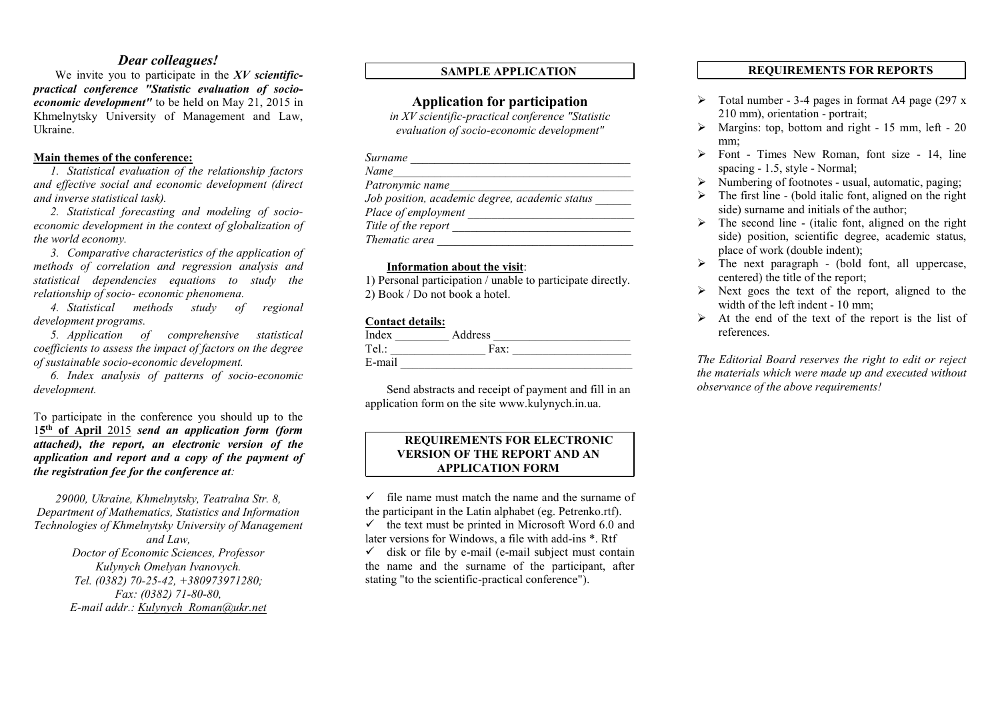# *Dear colleagues!*

We invite you to participate in the *ХV scientificpractical conference "Statistic evaluation of socioeconomic development"* to be held on May 21, 2015 in Khmelnytsky University of Management and Law, Ukraine.

# Main themes of the conference:

*1. Statistical evaluation of the relationship factors and effective social and economic development (direct and inverse statistical task).*

*2. Statistical forecasting and modeling of socioeconomic development in the context of globalization of the world economy.*

*3. Comparative characteristics of the application of methods of correlation and regression analysis and statistical dependencies equations to study the relationship of socio- economic phenomena.*

*4. Statistical methods study of regional development programs.*

*5. Application of comprehensive statistical coefficients to assess the impact of factors on the degree of sustainable socio-economic development.*

*6. Index analysis of patterns of socio-economic development.*

To participate in the conference you should up to the 15th of April 2015 *send an application form (form attached), the report, an electronic version of the application and report and a copy of the payment of the registration fee for the conference at:*

*29000, Ukraine, Khmelnytsky, Teatralna Str. 8, Department of Mathematics, Statistics and Information Technologies of Khmelnytsky University of Management and Law, Doctor of Economic Sciences, Professor Kulynych Omelyan Ivanovych. Tel. (0382) 70-25-42, +380973971280; Fax: (0382) 71-80-80, E-mail addr.: [Kulynych\\_Roman@ukr.net](mailto:Kulynych_Roman@ukr.net)*

# SAMPLE APPLICATION

# Application for participation

*in ХV scientific-practical conference "Statistic evaluation of socio-economic development"*

| Surname |
|---------|
|---------|

| Name                                           |  |
|------------------------------------------------|--|
| Patronymic name                                |  |
| Job position, academic degree, academic status |  |
| Place of employment                            |  |
| Title of the report                            |  |
| Thematic area                                  |  |

#### Information about the visit:

1) Personal participation / unable to participate directly. 2) Book / Do not book a hotel.

## Contact details:

| Index  | Address |  |
|--------|---------|--|
| Tel.:  | Fax:    |  |
| E-mail |         |  |

Send abstracts and receipt of payment and fill in an application form on the site [www.kulynych.in.ua](http://www.kulynych.in.ua/).

## REQUIREMENTS FOR ELECTRONIC VERSION OF THE REPORT AND AN APPLICATION FORM

 $\checkmark$  file name must match the name and the surname of the participant in the Latin alphabet (eg. Petrenko.rtf).

 $\checkmark$  the text must be printed in Microsoft Word 6.0 and later versions for Windows, a file with add-ins \*. Rtf

 $\checkmark$  disk or file by e-mail (e-mail subject must contain the name and the surname of the participant, after stating "to the scientific-practical conference").

# REQUIREMENTS FOR REPORTS

- $\triangleright$  Total number 3-4 pages in format A4 page (297 x) 210 mm), orientation - portrait;
- $\triangleright$  Margins: top, bottom and right 15 mm, left 20 mm;
- $\triangleright$  Font Times New Roman, font size 14, line spacing - 1.5, style - Normal;
- $\triangleright$  Numbering of footnotes usual, automatic, paging;
- $\triangleright$  The first line (bold italic font, aligned on the right side) surname and initials of the author;
- $\triangleright$  The second line (italic font, aligned on the right side) position, scientific degree, academic status, place of work (double indent);
- $\triangleright$  The next paragraph (bold font, all uppercase, centered) the title of the report;
- $\triangleright$  Next goes the text of the report, aligned to the width of the left indent - 10 mm;
- $\triangleright$  At the end of the text of the report is the list of references.

*The Editorial Board reserves the right to edit or reject the materials which were made up and executed without observance of the above requirements!*